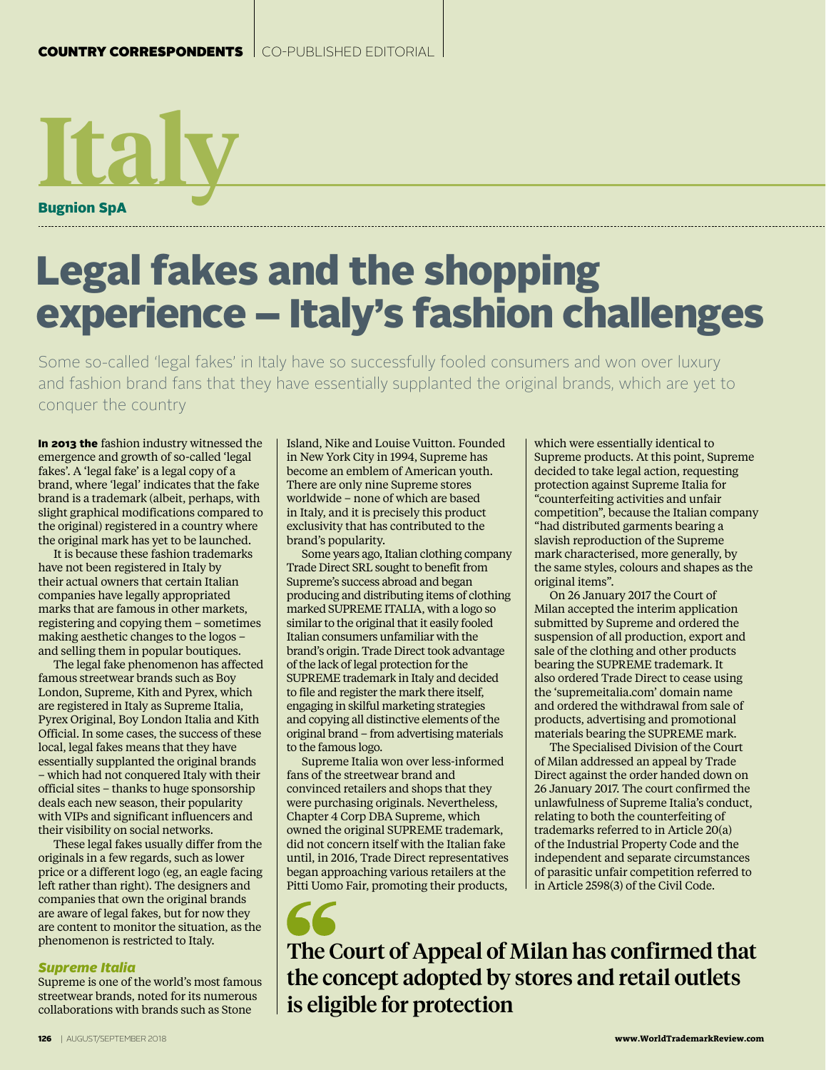Bugnion SpA **Italy**

## Legal fakes and the shopping experience – Italy's fashion challenges

Some so-called 'legal fakes' in Italy have so successfully fooled consumers and won over luxury and fashion brand fans that they have essentially supplanted the original brands, which are yet to conquer the country

In 2013 the fashion industry witnessed the emergence and growth of so-called 'legal fakes'. A 'legal fake' is a legal copy of a brand, where 'legal' indicates that the fake brand is a trademark (albeit, perhaps, with slight graphical modifications compared to the original) registered in a country where the original mark has yet to be launched.

It is because these fashion trademarks have not been registered in Italy by their actual owners that certain Italian companies have legally appropriated marks that are famous in other markets, registering and copying them – sometimes making aesthetic changes to the logos – and selling them in popular boutiques.

The legal fake phenomenon has affected famous streetwear brands such as Boy London, Supreme, Kith and Pyrex, which are registered in Italy as Supreme Italia, Pyrex Original, Boy London Italia and Kith Official. In some cases, the success of these local, legal fakes means that they have essentially supplanted the original brands – which had not conquered Italy with their official sites – thanks to huge sponsorship deals each new season, their popularity with VIPs and significant influencers and their visibility on social networks.

These legal fakes usually differ from the originals in a few regards, such as lower price or a different logo (eg, an eagle facing left rather than right). The designers and companies that own the original brands are aware of legal fakes, but for now they are content to monitor the situation, as the phenomenon is restricted to Italy.

## *Supreme Italia*

Supreme is one of the world's most famous streetwear brands, noted for its numerous collaborations with brands such as Stone

Island, Nike and Louise Vuitton. Founded in New York City in 1994, Supreme has become an emblem of American youth. There are only nine Supreme stores worldwide – none of which are based in Italy, and it is precisely this product exclusivity that has contributed to the brand's popularity.

Some years ago, Italian clothing company Trade Direct SRL sought to benefit from Supreme's success abroad and began producing and distributing items of clothing marked SUPREME ITALIA, with a logo so similar to the original that it easily fooled Italian consumers unfamiliar with the brand's origin. Trade Direct took advantage of the lack of legal protection for the SUPREME trademark in Italy and decided to file and register the mark there itself, engaging in skilful marketing strategies and copying all distinctive elements of the original brand – from advertising materials to the famous logo.

Supreme Italia won over less-informed fans of the streetwear brand and convinced retailers and shops that they were purchasing originals. Nevertheless, Chapter 4 Corp DBA Supreme, which owned the original SUPREME trademark, did not concern itself with the Italian fake until, in 2016, Trade Direct representatives began approaching various retailers at the Pitti Uomo Fair, promoting their products,

which were essentially identical to Supreme products. At this point, Supreme decided to take legal action, requesting protection against Supreme Italia for "counterfeiting activities and unfair competition", because the Italian company "had distributed garments bearing a slavish reproduction of the Supreme mark characterised, more generally, by the same styles, colours and shapes as the original items".

On 26 January 2017 the Court of Milan accepted the interim application submitted by Supreme and ordered the suspension of all production, export and sale of the clothing and other products bearing the SUPREME trademark. It also ordered Trade Direct to cease using the 'supremeitalia.com' domain name and ordered the withdrawal from sale of products, advertising and promotional materials bearing the SUPREME mark.

The Specialised Division of the Court of Milan addressed an appeal by Trade Direct against the order handed down on 26 January 2017. The court confirmed the unlawfulness of Supreme Italia's conduct, relating to both the counterfeiting of trademarks referred to in Article 20(a) of the Industrial Property Code and the independent and separate circumstances of parasitic unfair competition referred to in Article 2598(3) of the Civil Code.

The Court of Appeal of Milan has confirmed that the concept adopted by stores and retail outlets is eligible for protection